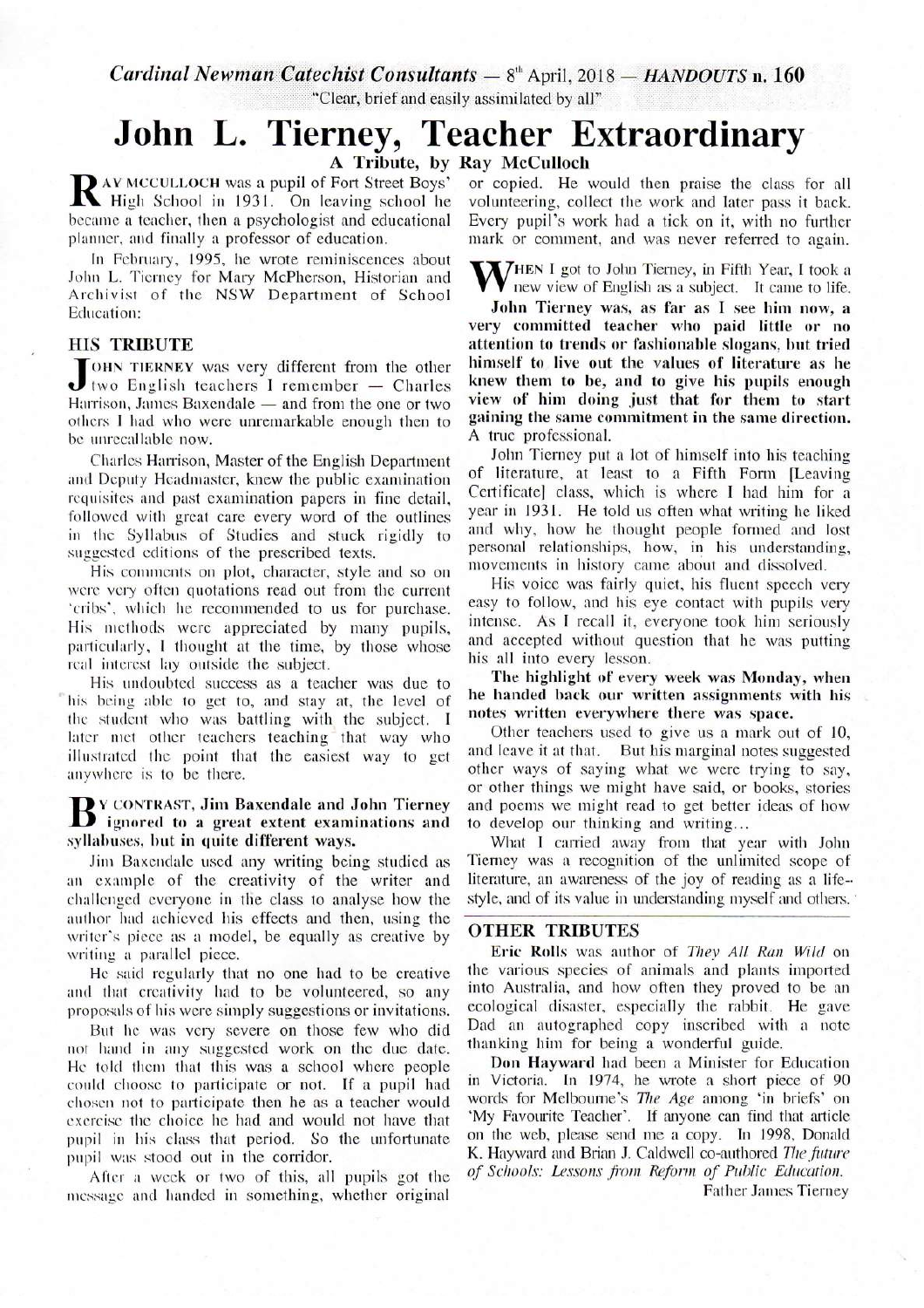$Cardinal\;Newman\;Catechist\;Consultants - 8<sup>th</sup> April, 2018 - HANDOUTSn.$  **160** "Clear, brief and easily assimilated by all"

# **John L. Tierney, Teacher Extraordinary**  A Tribute, by Ray McCulloch

RAY MCCULLOCH was a pupil of Fort Street Boys' or copied. He would then praise the class for all<br>High School in 1931. On leaving school he volunteering, collect the work and later pass it back. **IN** High School in 1931. On leaving school he volunteering, collect the work and later pass it back.<br>became a teacher, then a psychologist and educational Every pupil's work had a tick on it, with no further planner. and finally a professor of education. mark or comment, and was never referred to again.

In February, 1995, he wrote reminiscences about John L. Tierney for Mary McPherson, Historian and Archivist of the NSW Department of School Education: Education:  $\frac{1}{2}$  John Tierney was, as far as I see him now, a

### HIS TRIBUTE

JOHN TIERNEY was very different from the other<br>Harrison, James Baxendale — and from the one or two OHN TIERNEY was very different from the other two English teachers I remember - Charles Harrison, James Baxendale  $-$  and from the one or two others I had who were unremarkable enough then to be unrecallable now.

Charles Harrison, Master of the English Department and Deputy Headmaster, knew the public examination requisites and past examination papers in fine detail, followed with great care every word of the outlines in the Syllabus of Studies and stuck rigidly to suggested editions of the prescribed texts.

His comments on plot, character, style and so on were very often quotations read out from the current 'cribs', which he recommended to us for purchase. His methods were appreciated by many pupils, particularly, I thought at the time, by those whose real interest lay outside the subject.

His undoubted success as a teacher was due to his being able to get to, and stay at, the level of the student who was battling with the subject. I later met other teachers teaching that way who illustrated the point that the easiest way to get anywhere is to be there.

### **B**<sup>Y</sup> CONTRAST, Jim Baxendale and John Tierney<br>ignored to a great extent examinations and<br>evilabuses but in quite different ways Y CONTRAST, Jim Baxendale and John Tierney xyllahuxes, hut in quite different ways.

Jim Baxendale used any writing being studied as an example of the creativity of the writer and challenged everyone in the class to analyse how the author had achieved his effects and then, using the writer's piece as a model, be equally as creative by writing a parallel piece.

He said regularly that no one had to be creative and that creativity had to be volunteered, so any proposals of his were simply suggestions or invitations.

But he was very severe on those few who did not hand in any suggested work on the due date. He told them that this was a school where people could choose to participate or not. If a pupil had chosen not to participate then he as a teacher would exercise the choice he had and would not have that pupil in his class that period. So the unfortunate pupil was stood out in the corridor.

After a week or two of this, all pupils got the message and handed in something, whether original

High School in 1931. On leaving school he volunteering, collect the work and later pass it back.

**V**HEN I got to John Tierney, in Fifth Year, I took a new view of English as a subject. It came to life.

very committed teacher who paid little or no attention to trends or fashionable slogans, but tried himself to live out the values of literature as he knew them to be, and to give his pupils enough view of him doing just that for them to start gaining the same commitment in the same direction. A true professional.

John Tierney put a lot of himself into his teaching of literature, at least to a Fifth Form [Leaving Certificate] class, which is where I had him for a year in 1931. He told us often what writing he liked and why, how he thought people formed and lost personal relationships, how, in his understanding, movements in history came about and dissolved.

His voice was fairly quiet, his fluent speech very easy to follow, and his eye contact with pupils very intense. As I recall it, everyone took him seriously and accepted without question that he was putting his all into every lesson.

The highlight of every week was Monday, when he handed hack our written assignments with his notes written everywhere there was space.

Other teachers used to give us a mark out of 10, and leave it at that. But his marginal notes suggested other ways of saying what we were trying to say, or other things we might have said, or books, stories and poems we might read to get better ideas of how to develop our thinking and writing...

What I carried away from that year with John Tierney was a recognition of the unlimited scope of literature, an awareness of the joy of reading as a lifestyle, and of its value in understanding myself and others.

## OTHER TRIBUTES

Eric Rolls was author of *They All Ran Wild* on the various species of animals and plants imported into Australia, and how often they proved to be an ecological disaster, especially the rabbit. He gave Dad an autographed copy inscribed with a note thanking him for being a wonderful guide.

Don Hayward had been a Minister for Education in Victoria. In 1974, he wrote a short piece of 90 words for Melbourne's *The Age* among 'in briefs' on 'My Favourite Teacher'. If anyone can find that article on the web, please send me a copy. In 1998, Donald K. Hayward and Brian J. Caldwell co-authored *The future of Schools: Lessons from Reform of Public Education.* 

Father James Tierney